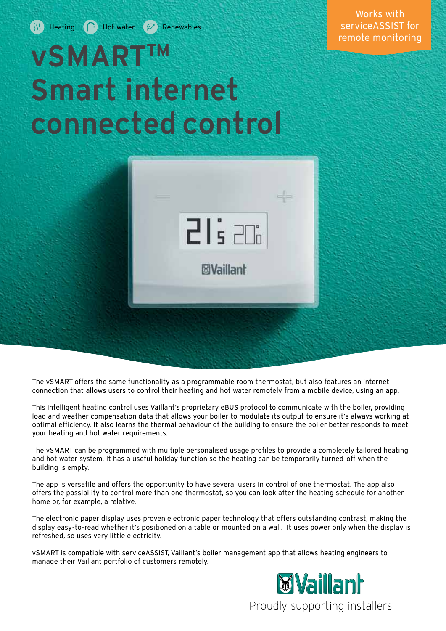### Works with serviceASSIST for remote monitoring

# vSMARTTM Smart internet connected control



The vSMART offers the same functionality as a programmable room thermostat, but also features an internet connection that allows users to control their heating and hot water remotely from a mobile device, using an app.

This intelligent heating control uses Vaillant's proprietary eBUS protocol to communicate with the boiler, providing load and weather compensation data that allows your boiler to modulate its output to ensure it's always working at optimal efficiency. It also learns the thermal behaviour of the building to ensure the boiler better responds to meet your heating and hot water requirements.

The vSMART can be programmed with multiple personalised usage profiles to provide a completely tailored heating and hot water system. It has a useful holiday function so the heating can be temporarily turned-off when the building is empty.

The app is versatile and offers the opportunity to have several users in control of one thermostat. The app also offers the possibility to control more than one thermostat, so you can look after the heating schedule for another home or, for example, a relative.

The electronic paper display uses proven electronic paper technology that offers outstanding contrast, making the display easy-to-read whether it's positioned on a table or mounted on a wall. It uses power only when the display is refreshed, so uses very little electricity.

vSMART is compatible with serviceASSIST, Vaillant's boiler management app that allows heating engineers to manage their Vaillant portfolio of customers remotely.

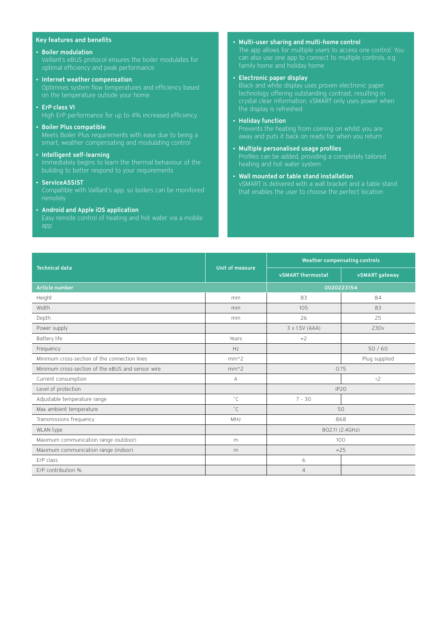#### Key features and benefits

• Boiler modulation

Vaillant's eBUS protocol ensures the boiler modulates for

- Internet weather compensation Optimises system flow temperatures and efficiency based
- ErP class VI

- Boiler Plus compatible Meets Boiler Plus requirements with ease due to being a smart, weather compensating and modulating control
- Intelligent self-learning Immediately begins to learn the thermal behaviour of the building to better respond to your requirements
- ServiceASSIST

Compatible with Vaillant's app, so boilers can be monitored

• Android and Apple iOS application

app

- Multi-user sharing and multi-home control The app allows for multiple users to access one control. You family home and holiday home
- Electronic paper display

#### • Holiday function

away and puts it back on ready for when you return

- Multiple personalised usage profiles
- Wall mounted or table stand installation vSMART is delivered with a wall bracket and a table stand that enables the user to choose the perfect location

| <b>Technical data</b>                             | Unit of measure | <b>Weather compensating controls</b> |                  |
|---------------------------------------------------|-----------------|--------------------------------------|------------------|
|                                                   |                 | <b>vSMART</b> thermostat             | vSMART gateway   |
| Article number                                    |                 | 0020223154                           |                  |
| Height                                            | mm              | 83                                   | 84               |
| Width                                             | mm              | 105                                  | 83               |
| Depth                                             | mm              | 26                                   | 25               |
| Power supply                                      |                 | 3 x 1.5V (AAA)                       | 230 <sub>v</sub> |
| Battery life                                      | Years           | $\approx$ 2                          |                  |
| Frequency                                         | H <sub>7</sub>  |                                      | 50/60            |
| Minimum cross-section of the connection lines     | $mm^2$          |                                      | Plug supplied    |
| Minimum cross-section of the eBUS and sensor wire | $mm^2$          | 0.75                                 |                  |
| Current consumption                               | A               |                                      | $\langle 2$      |
| Level of protection                               |                 | IP <sub>20</sub>                     |                  |
| Adjustable temperature range                      | $^{\circ}$ C    | $7 - 30$                             |                  |
| Max ambient temperature                           | $^{\circ}$ C    | 50                                   |                  |
| Transmissions frequency                           | MHz             | 868                                  |                  |
| WLAN type                                         |                 | 802.11 (2.4GHz)                      |                  |
| Maximum communication range (outdoor)             | m               | 100                                  |                  |
| Maximum communication range (indoor)              | m               | $\approx$ 25                         |                  |
| FrP class                                         |                 | 6                                    |                  |
| ErP contribution %                                |                 | $\overline{4}$                       |                  |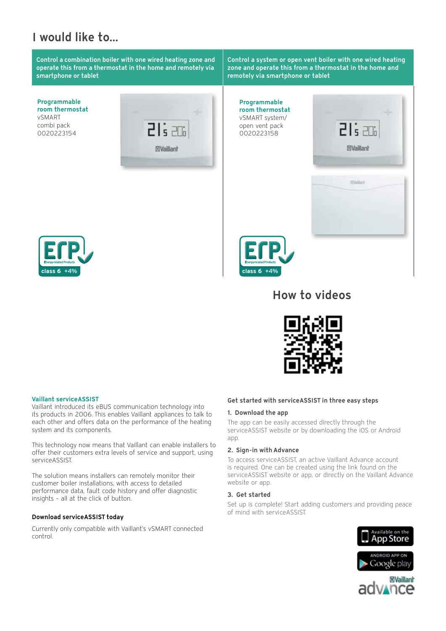## I would like to...

Control a combination boiler with one wired heating zone and operate this from a thermostat in the home and remotely via smartphone or tablet

Programmable room thermostat vSMART combi pack 0020223154







Control a system or open vent boiler with one wired heating zone and operate this from a thermostat in the home and remotely via smartphone or tablet

Programmable room thermostat vSMART system/ open vent pack 0020223158





## How to videos



#### Vaillant serviceASSIST

Vaillant introduced its eBUS communication technology into its products in 2006. This enables Vaillant appliances to talk to each other and offers data on the performance of the heating system and its components.

This technology now means that Vaillant can enable installers to offer their customers extra levels of service and support, using serviceASSIST.

The solution means installers can remotely monitor their customer boiler installations, with access to detailed performance data, fault code history and offer diagnostic insights – all at the click of button.

#### Download serviceASSIST today

Currently only compatible with Vaillant's vSMART connected control.

#### Get started with serviceASSIST in three easy steps

#### 1. Download the app

The app can be easily accessed directly through the serviceASSIST website or by downloading the iOS or Android app.

#### 2. Sign-in with Advance

To access serviceASSIST, an active Vaillant Advance account is required. One can be created using the link found on the serviceASSIST website or app, or directly on the Vaillant Advance website or app.

#### 3. Get started

Set up is complete! Start adding customers and providing peace of mind with serviceASSIST.